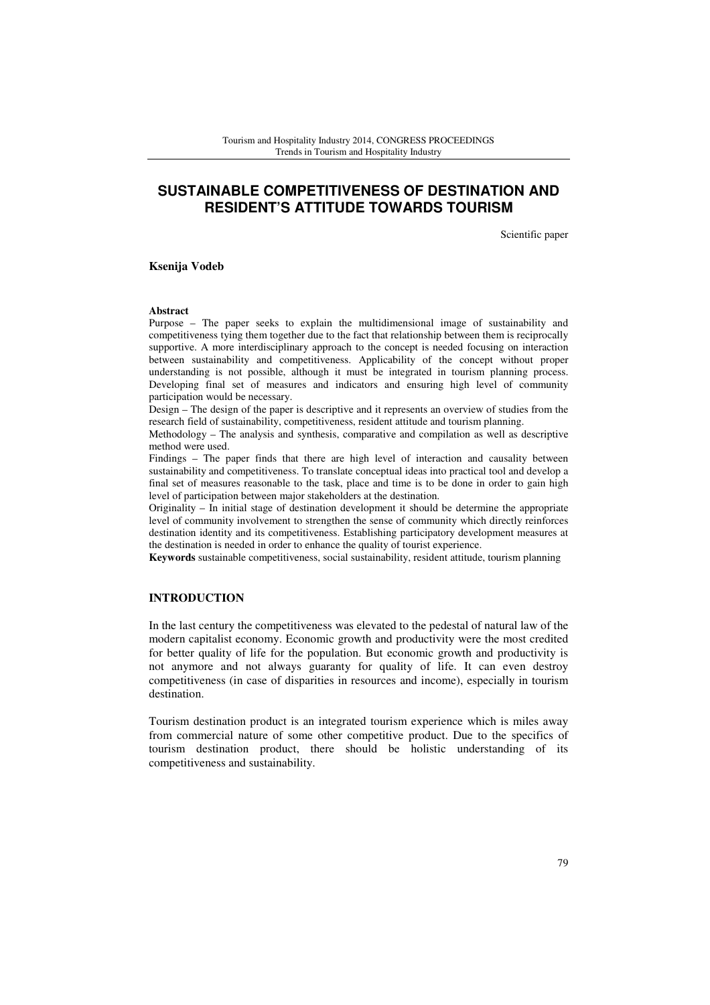# **SUSTAINABLE COMPETITIVENESS OF DESTINATION AND RESIDENT'S ATTITUDE TOWARDS TOURISM**

Scientific paper

**Ksenija Vodeb** 

#### **Abstract**

Purpose – The paper seeks to explain the multidimensional image of sustainability and competitiveness tying them together due to the fact that relationship between them is reciprocally supportive. A more interdisciplinary approach to the concept is needed focusing on interaction between sustainability and competitiveness. Applicability of the concept without proper understanding is not possible, although it must be integrated in tourism planning process. Developing final set of measures and indicators and ensuring high level of community participation would be necessary.

Design – The design of the paper is descriptive and it represents an overview of studies from the research field of sustainability, competitiveness, resident attitude and tourism planning.

Methodology – The analysis and synthesis, comparative and compilation as well as descriptive method were used.

Findings – The paper finds that there are high level of interaction and causality between sustainability and competitiveness. To translate conceptual ideas into practical tool and develop a final set of measures reasonable to the task, place and time is to be done in order to gain high level of participation between major stakeholders at the destination.

Originality – In initial stage of destination development it should be determine the appropriate level of community involvement to strengthen the sense of community which directly reinforces destination identity and its competitiveness. Establishing participatory development measures at the destination is needed in order to enhance the quality of tourist experience.

**Keywords** sustainable competitiveness, social sustainability, resident attitude, tourism planning

### **INTRODUCTION**

In the last century the competitiveness was elevated to the pedestal of natural law of the modern capitalist economy. Economic growth and productivity were the most credited for better quality of life for the population. But economic growth and productivity is not anymore and not always guaranty for quality of life. It can even destroy competitiveness (in case of disparities in resources and income), especially in tourism destination.

Tourism destination product is an integrated tourism experience which is miles away from commercial nature of some other competitive product. Due to the specifics of tourism destination product, there should be holistic understanding of its competitiveness and sustainability.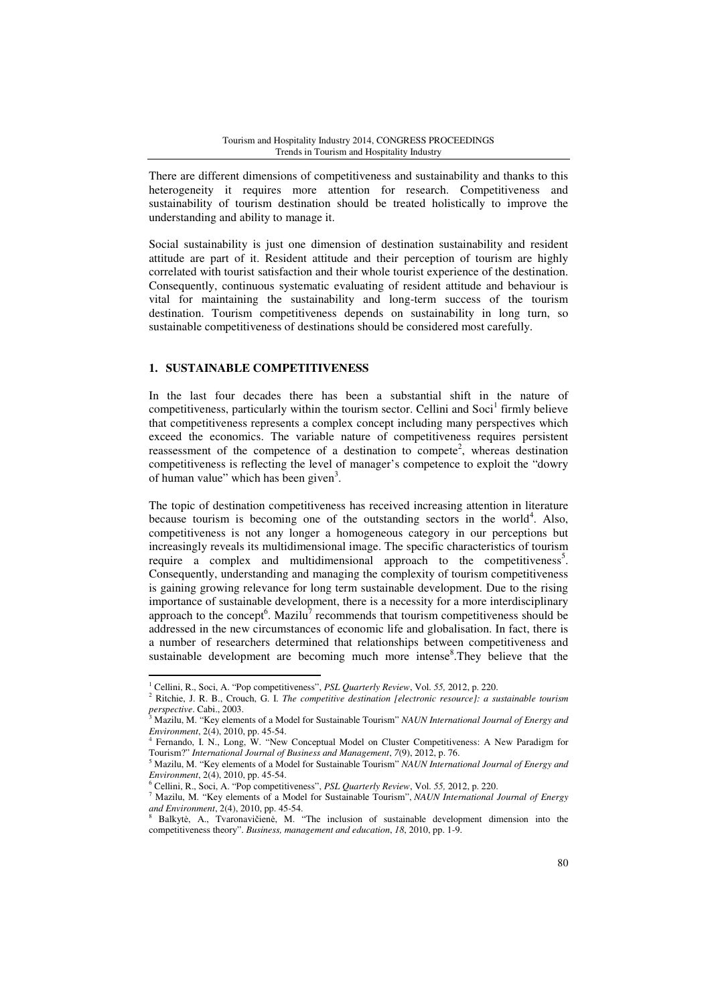There are different dimensions of competitiveness and sustainability and thanks to this heterogeneity it requires more attention for research. Competitiveness and sustainability of tourism destination should be treated holistically to improve the understanding and ability to manage it.

Social sustainability is just one dimension of destination sustainability and resident attitude are part of it. Resident attitude and their perception of tourism are highly correlated with tourist satisfaction and their whole tourist experience of the destination. Consequently, continuous systematic evaluating of resident attitude and behaviour is vital for maintaining the sustainability and long-term success of the tourism destination. Tourism competitiveness depends on sustainability in long turn, so sustainable competitiveness of destinations should be considered most carefully.

### **1. SUSTAINABLE COMPETITIVENESS**

l

In the last four decades there has been a substantial shift in the nature of competitiveness, particularly within the tourism sector. Cellini and Soci<sup>1</sup> firmly believe that competitiveness represents a complex concept including many perspectives which exceed the economics. The variable nature of competitiveness requires persistent reassessment of the competence of a destination to compete<sup>2</sup>, whereas destination competitiveness is reflecting the level of manager's competence to exploit the "dowry of human value" which has been given<sup>3</sup>.

The topic of destination competitiveness has received increasing attention in literature because tourism is becoming one of the outstanding sectors in the world<sup>4</sup>. Also, competitiveness is not any longer a homogeneous category in our perceptions but increasingly reveals its multidimensional image. The specific characteristics of tourism require a complex and multidimensional approach to the competitiveness<sup>5</sup>. Consequently, understanding and managing the complexity of tourism competitiveness is gaining growing relevance for long term sustainable development. Due to the rising importance of sustainable development, there is a necessity for a more interdisciplinary approach to the concept<sup>6</sup>. Mazilu<sup>7</sup> recommends that tourism competitiveness should be addressed in the new circumstances of economic life and globalisation. In fact, there is a number of researchers determined that relationships between competitiveness and sustainable development are becoming much more intense<sup>8</sup>. They believe that the

<sup>1</sup> Cellini, R., Soci, A. "Pop competitiveness", *PSL Quarterly Review*, Vol. *55,* 2012, p. 220.

<sup>2</sup> Ritchie, J. R. B., Crouch, G. I. *The competitive destination [electronic resource]: a sustainable tourism perspective*. Cabi., 2003.

<sup>3</sup> Mazilu, M. "Key elements of a Model for Sustainable Tourism" *NAUN International Journal of Energy and Environment*, 2(4), 2010, pp. 45-54.<br><sup>4</sup> Eernando J. N. Long, W. "New

Fernando, I. N., Long, W. "New Conceptual Model on Cluster Competitiveness: A New Paradigm for Tourism?" *International Journal of Business and Management*, *7*(9), 2012, p. 76.

<sup>5</sup> Mazilu, M. "Key elements of a Model for Sustainable Tourism" *NAUN International Journal of Energy and Environment*, 2(4), 2010, pp. 45-54.

<sup>6</sup> Cellini, R., Soci, A. "Pop competitiveness", *PSL Quarterly Review*, Vol. *55,* 2012, p. 220.

<sup>7</sup> Mazilu, M. "Key elements of a Model for Sustainable Tourism", *NAUN International Journal of Energy and Environment*, 2(4), 2010, pp. 45-54.

<sup>8</sup> Balkytė, A., Tvaronavičienė, M. "The inclusion of sustainable development dimension into the competitiveness theory". *Business, management and education*, *18*, 2010, pp. 1-9.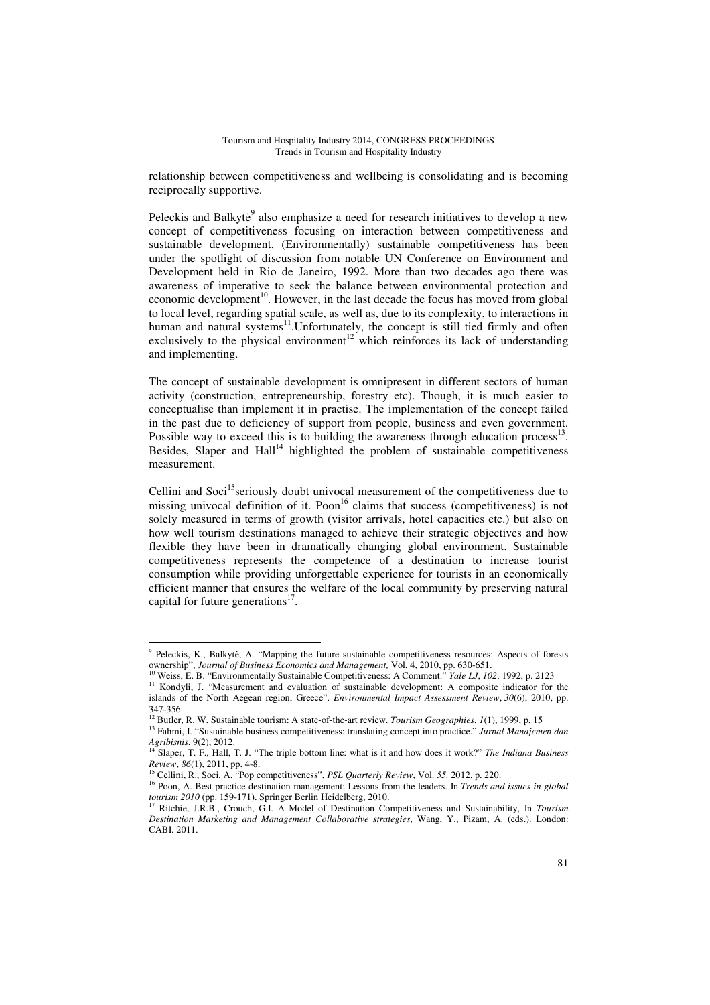relationship between competitiveness and wellbeing is consolidating and is becoming reciprocally supportive.

Peleckis and Balkyte<sup>9</sup> also emphasize a need for research initiatives to develop a new concept of competitiveness focusing on interaction between competitiveness and sustainable development. (Environmentally) sustainable competitiveness has been under the spotlight of discussion from notable UN Conference on Environment and Development held in Rio de Janeiro, 1992. More than two decades ago there was awareness of imperative to seek the balance between environmental protection and economic development<sup>10</sup>. However, in the last decade the focus has moved from global to local level, regarding spatial scale, as well as, due to its complexity, to interactions in human and natural systems<sup>11</sup>. Unfortunately, the concept is still tied firmly and often exclusively to the physical environment<sup>12</sup> which reinforces its lack of understanding and implementing.

The concept of sustainable development is omnipresent in different sectors of human activity (construction, entrepreneurship, forestry etc). Though, it is much easier to conceptualise than implement it in practise. The implementation of the concept failed in the past due to deficiency of support from people, business and even government. Possible way to exceed this is to building the awareness through education process<sup>13</sup>. Besides, Slaper and  $\text{Hall}^{14}$  highlighted the problem of sustainable competitiveness measurement.

Cellini and Soci<sup>15</sup>seriously doubt univocal measurement of the competitiveness due to missing univocal definition of it. Poon<sup>16</sup> claims that success (competitiveness) is not solely measured in terms of growth (visitor arrivals, hotel capacities etc.) but also on how well tourism destinations managed to achieve their strategic objectives and how flexible they have been in dramatically changing global environment. Sustainable competitiveness represents the competence of a destination to increase tourist consumption while providing unforgettable experience for tourists in an economically efficient manner that ensures the welfare of the local community by preserving natural capital for future generations<sup>17</sup>.

l

<sup>&</sup>lt;sup>9</sup> Peleckis, K., Balkytė, A. "Mapping the future sustainable competitiveness resources: Aspects of forests ownership", *Journal of Business Economics and Management,* Vol. 4, 2010, pp. 630-651.

<sup>10</sup> Weiss, E. B. "Environmentally Sustainable Competitiveness: A Comment." *Yale LJ*, *102*, 1992, p. 2123

<sup>&</sup>lt;sup>11</sup> Kondyli, J. "Measurement and evaluation of sustainable development: A composite indicator for the islands of the North Aegean region, Greece". *Environmental Impact Assessment Review*, *30*(6), 2010, pp. 347-356.

<sup>12</sup> Butler, R. W. Sustainable tourism: A state‐of‐the‐art review. *Tourism Geographies*, *1*(1), 1999, p. 15

<sup>13</sup> Fahmi, I. "Sustainable business competitiveness: translating concept into practice." *Jurnal Manajemen dan Agribisnis*, 9(2), 2012. <sup>14</sup> Slaper, T. F., Hall, T. J. "The triple bottom line: what is it and how does it work?" *The Indiana Business* 

*Review*, *86*(1), 2011, pp. 4-8.

<sup>15</sup> Cellini, R., Soci, A. "Pop competitiveness", *PSL Quarterly Review*, Vol. *55,* 2012, p. 220.

<sup>16</sup> Poon, A. Best practice destination management: Lessons from the leaders. In *Trends and issues in global tourism 2010* (pp. 159-171). Springer Berlin Heidelberg, 2010.

<sup>17</sup> Ritchie, J.R.B., Crouch, G.I. A Model of Destination Competitiveness and Sustainability, In *Tourism Destination Marketing and Management Collaborative strategies*, Wang, Y., Pizam, A. (eds.). London: CABI. 2011.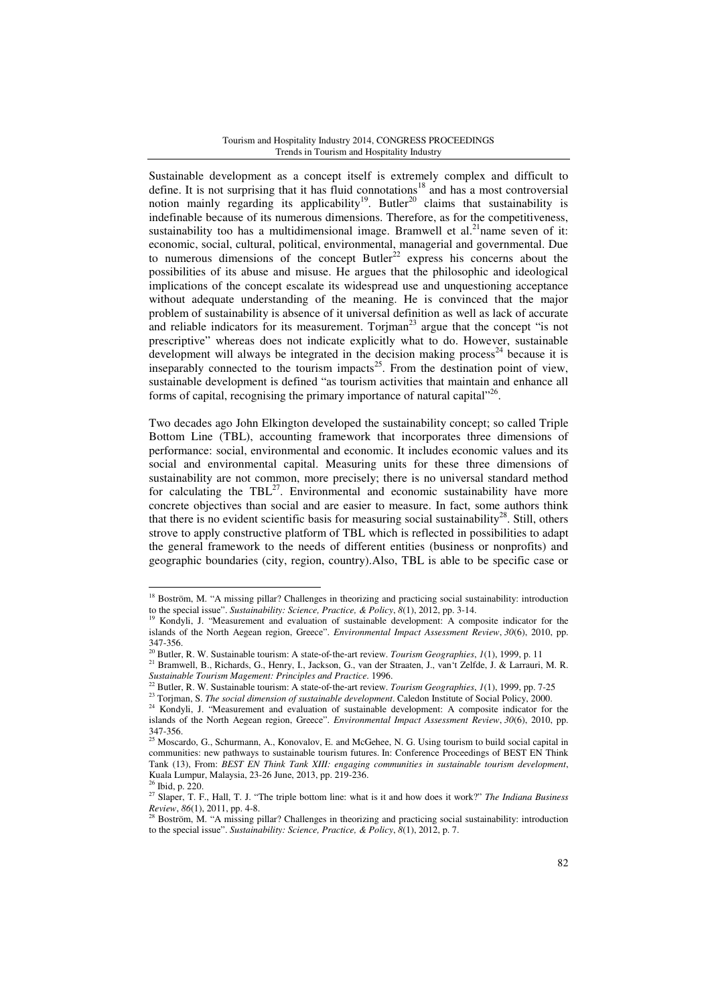#### Tourism and Hospitality Industry 2014, CONGRESS PROCEEDINGS Trends in Tourism and Hospitality Industry

Sustainable development as a concept itself is extremely complex and difficult to define. It is not surprising that it has fluid connotations<sup>18</sup> and has a most controversial notion mainly regarding its applicability<sup>19</sup>. Butler<sup>20</sup> claims that sustainability is indefinable because of its numerous dimensions. Therefore, as for the competitiveness, sustainability too has a multidimensional image. Bramwell et al.<sup>21</sup> name seven of it: economic, social, cultural, political, environmental, managerial and governmental. Due to numerous dimensions of the concept Butler<sup>22</sup> express his concerns about the possibilities of its abuse and misuse. He argues that the philosophic and ideological implications of the concept escalate its widespread use and unquestioning acceptance without adequate understanding of the meaning. He is convinced that the major problem of sustainability is absence of it universal definition as well as lack of accurate and reliable indicators for its measurement. Torjman<sup>23</sup> argue that the concept "is not prescriptive" whereas does not indicate explicitly what to do. However, sustainable development will always be integrated in the decision making process<sup>24</sup> because it is inseparably connected to the tourism impacts<sup>25</sup>. From the destination point of view, sustainable development is defined "as tourism activities that maintain and enhance all forms of capital, recognising the primary importance of natural capital"<sup>26</sup>.

Two decades ago John Elkington developed the sustainability concept; so called Triple Bottom Line (TBL), accounting framework that incorporates three dimensions of performance: social, environmental and economic. It includes economic values and its social and environmental capital. Measuring units for these three dimensions of sustainability are not common, more precisely; there is no universal standard method for calculating the TBL $^{27}$ . Environmental and economic sustainability have more concrete objectives than social and are easier to measure. In fact, some authors think that there is no evident scientific basis for measuring social sustainability<sup>28</sup>. Still, others strove to apply constructive platform of TBL which is reflected in possibilities to adapt the general framework to the needs of different entities (business or nonprofits) and geographic boundaries (city, region, country).Also, TBL is able to be specific case or

<sup>&</sup>lt;sup>18</sup> Boström, M. "A missing pillar? Challenges in theorizing and practicing social sustainability: introduction to the special issue". *Sustainability: Science, Practice, & Policy*, *8*(1), 2012, pp. 3-14.

<sup>19</sup> Kondyli, J. "Measurement and evaluation of sustainable development: A composite indicator for the islands of the North Aegean region, Greece". *Environmental Impact Assessment Review*, *30*(6), 2010, pp. 347-356.

<sup>&</sup>lt;sup>20</sup> Butler, R. W. Sustainable tourism: A state-of-the-art review. *Tourism Geographies*, *1*(1), 1999, p. 11

<sup>21</sup> Bramwell, B., Richards, G., Henry, I., Jackson, G., van der Straaten, J., van't Zelfde, J. & Larrauri, M. R. *Sustainable Tourism Magement: Principles and Practice*. 1996.

<sup>22</sup> Butler, R. W. Sustainable tourism: A state‐of‐the‐art review. *Tourism Geographies*, *1*(1), 1999, pp. 7-25

<sup>&</sup>lt;sup>23</sup> Torjman, S. *The social dimension of sustainable development*. Caledon Institute of Social Policy, 2000.

<sup>&</sup>lt;sup>24</sup> Kondyli, J. "Measurement and evaluation of sustainable development: A composite indicator for the islands of the North Aegean region, Greece". *Environmental Impact Assessment Review*, *30*(6), 2010, pp.  $347-356.$ <sup>25</sup>

<sup>25</sup> Moscardo, G., Schurmann, A., Konovalov, E. and McGehee, N. G. Using tourism to build social capital in communities: new pathways to sustainable tourism futures. In: Conference Proceedings of BEST EN Think Tank (13), From: *BEST EN Think Tank XIII: engaging communities in sustainable tourism development*, Kuala Lumpur, Malaysia, 23-26 June, 2013, pp. 219-236.

 $6$  Ibid, p. 220.

<sup>27</sup> Slaper, T. F., Hall, T. J. "The triple bottom line: what is it and how does it work?" *The Indiana Business Review*, *86*(1), 2011, pp. 4-8.

<sup>&</sup>lt;sup>28</sup> Boström, M. "A missing pillar? Challenges in theorizing and practicing social sustainability: introduction to the special issue". *Sustainability: Science, Practice, & Policy*, *8*(1), 2012, p. 7.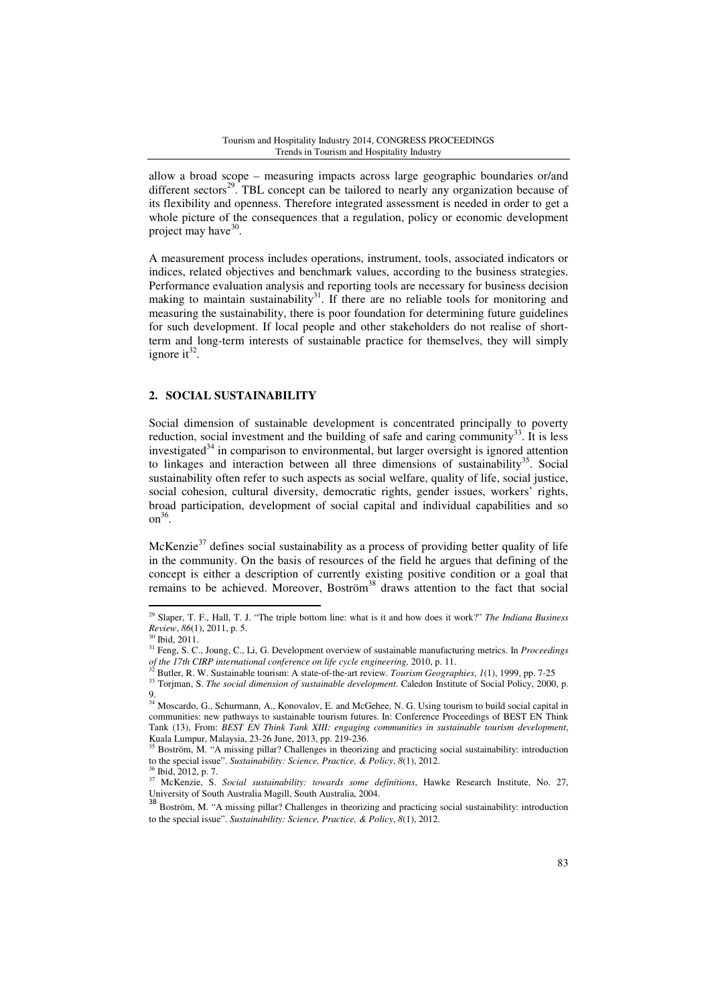allow a broad scope – measuring impacts across large geographic boundaries or/and different sectors<sup>29</sup>. TBL concept can be tailored to nearly any organization because of its flexibility and openness. Therefore integrated assessment is needed in order to get a whole picture of the consequences that a regulation, policy or economic development project may have<sup>30</sup>.

A measurement process includes operations, instrument, tools, associated indicators or indices, related objectives and benchmark values, according to the business strategies. Performance evaluation analysis and reporting tools are necessary for business decision making to maintain sustainability<sup>31</sup>. If there are no reliable tools for monitoring and measuring the sustainability, there is poor foundation for determining future guidelines for such development. If local people and other stakeholders do not realise of shortterm and long-term interests of sustainable practice for themselves, they will simply ignore it<sup>32</sup>.

## **2. SOCIAL SUSTAINABILITY**

Social dimension of sustainable development is concentrated principally to poverty reduction, social investment and the building of safe and caring community $33$ . It is less investigated $34$  in comparison to environmental, but larger oversight is ignored attention to linkages and interaction between all three dimensions of sustainability<sup>35</sup>. Social sustainability often refer to such aspects as social welfare, quality of life, social justice, social cohesion, cultural diversity, democratic rights, gender issues, workers' rights, broad participation, development of social capital and individual capabilities and so  $\text{on}^{36}$ .

McKenzie<sup>37</sup> defines social sustainability as a process of providing better quality of life in the community. On the basis of resources of the field he argues that defining of the concept is either a description of currently existing positive condition or a goal that remains to be achieved. Moreover, Boström<sup>38</sup> draws attention to the fact that social

<sup>29</sup> Slaper, T. F., Hall, T. J. "The triple bottom line: what is it and how does it work?" *The Indiana Business Review*, *86*(1), 2011, p. 5.

 $30$  Ibid, 2011.

<sup>31</sup> Feng, S. C., Joung, C., Li, G. Development overview of sustainable manufacturing metrics. In *Proceedings* 

*of the 17th CIRP international conference on life cycle engineering,* 2010, p. 11. <sup>32</sup> Butler, R. W. Sustainable tourism: A state‐of‐the‐art review. *Tourism Geographies*, *1*(1), 1999, pp. 7-25

<sup>&</sup>lt;sup>33</sup> Torjman, S. *The social dimension of sustainable development*. Caledon Institute of Social Policy, 2000, p. 9.

<sup>&</sup>lt;sup>34</sup> Moscardo, G., Schurmann, A., Konovalov, E. and McGehee, N. G. Using tourism to build social capital in communities: new pathways to sustainable tourism futures. In: Conference Proceedings of BEST EN Think Tank (13), From: *BEST EN Think Tank XIII: engaging communities in sustainable tourism development*, Kuala Lumpur, Malaysia, 23-26 June, 2013, pp. 219-236.

<sup>&</sup>lt;sup>35</sup> Boström, M. "A missing pillar? Challenges in theorizing and practicing social sustainability: introduction to the special issue". *Sustainability: Science, Practice, & Policy*, *8*(1), 2012.

<sup>36</sup> Ibid, 2012, p. 7.

<sup>37</sup> McKenzie, S. *Social sustainability: towards some definitions*, Hawke Research Institute, No. 27, University of South Australia Magill, South Australia, 2004.

<sup>38</sup> Boström, M. "A missing pillar? Challenges in theorizing and practicing social sustainability: introduction to the special issue". *Sustainability: Science, Practice, & Policy*, *8*(1), 2012.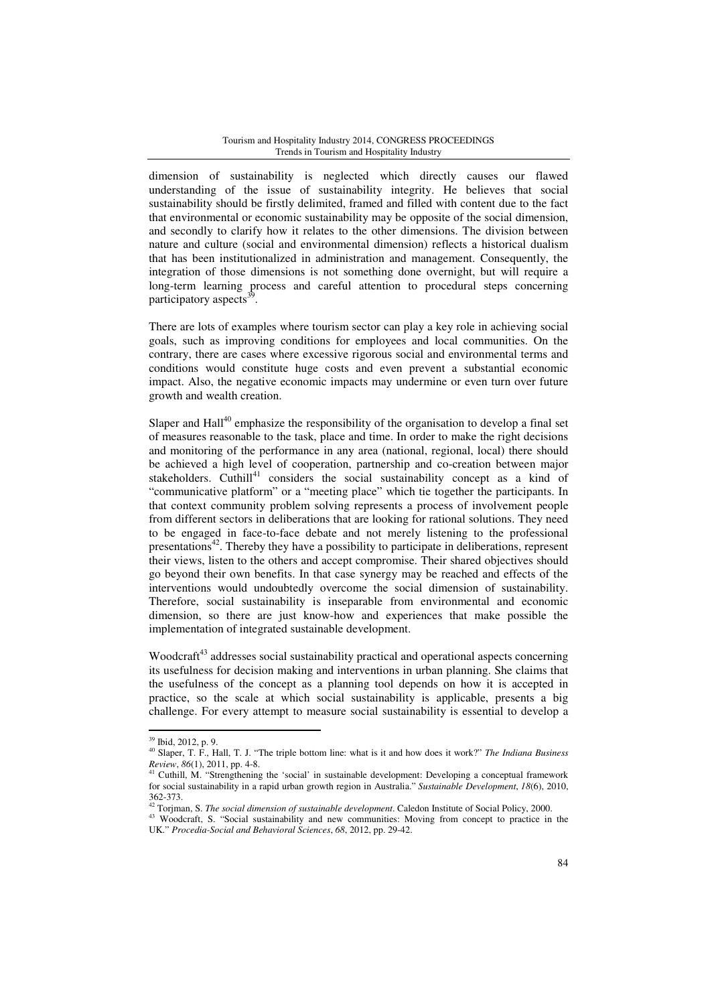#### Tourism and Hospitality Industry 2014, CONGRESS PROCEEDINGS Trends in Tourism and Hospitality Industry

dimension of sustainability is neglected which directly causes our flawed understanding of the issue of sustainability integrity. He believes that social sustainability should be firstly delimited, framed and filled with content due to the fact that environmental or economic sustainability may be opposite of the social dimension, and secondly to clarify how it relates to the other dimensions. The division between nature and culture (social and environmental dimension) reflects a historical dualism that has been institutionalized in administration and management. Consequently, the integration of those dimensions is not something done overnight, but will require a long-term learning process and careful attention to procedural steps concerning participatory aspects<sup>3</sup> .

There are lots of examples where tourism sector can play a key role in achieving social goals, such as improving conditions for employees and local communities. On the contrary, there are cases where excessive rigorous social and environmental terms and conditions would constitute huge costs and even prevent a substantial economic impact. Also, the negative economic impacts may undermine or even turn over future growth and wealth creation.

Slaper and  $\text{Hall}^{40}$  emphasize the responsibility of the organisation to develop a final set of measures reasonable to the task, place and time. In order to make the right decisions and monitoring of the performance in any area (national, regional, local) there should be achieved a high level of cooperation, partnership and co-creation between major stakeholders. Cuthill<sup>41</sup> considers the social sustainability concept as a kind of "communicative platform" or a "meeting place" which tie together the participants. In that context community problem solving represents a process of involvement people from different sectors in deliberations that are looking for rational solutions. They need to be engaged in face-to-face debate and not merely listening to the professional presentations<sup>42</sup>. Thereby they have a possibility to participate in deliberations, represent their views, listen to the others and accept compromise. Their shared objectives should go beyond their own benefits. In that case synergy may be reached and effects of the interventions would undoubtedly overcome the social dimension of sustainability. Therefore, social sustainability is inseparable from environmental and economic dimension, so there are just know-how and experiences that make possible the implementation of integrated sustainable development.

Woodcraft<sup>43</sup> addresses social sustainability practical and operational aspects concerning its usefulness for decision making and interventions in urban planning. She claims that the usefulness of the concept as a planning tool depends on how it is accepted in practice, so the scale at which social sustainability is applicable, presents a big challenge. For every attempt to measure social sustainability is essential to develop a

<sup>39</sup> Ibid, 2012, p. 9.

<sup>40</sup> Slaper, T. F., Hall, T. J. "The triple bottom line: what is it and how does it work?" *The Indiana Business Review*, *86*(1), 2011, pp. 4-8.

<sup>41</sup> Cuthill, M. "Strengthening the 'social' in sustainable development: Developing a conceptual framework for social sustainability in a rapid urban growth region in Australia." *Sustainable Development*, *18*(6), 2010, 362-373.

<sup>42</sup> Torjman, S. *The social dimension of sustainable development*. Caledon Institute of Social Policy, 2000.

<sup>&</sup>lt;sup>43</sup> Woodcraft, S. "Social sustainability and new communities: Moving from concept to practice in the UK." *Procedia-Social and Behavioral Sciences*, *68*, 2012, pp. 29-42.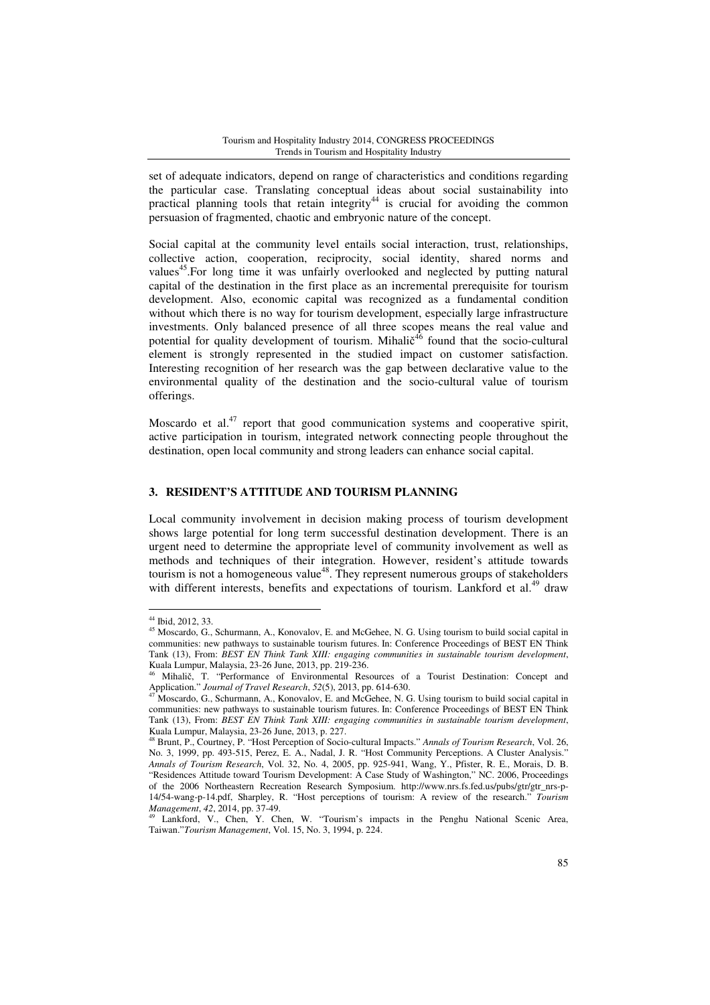set of adequate indicators, depend on range of characteristics and conditions regarding the particular case. Translating conceptual ideas about social sustainability into practical planning tools that retain integrity<sup>44</sup> is crucial for avoiding the common persuasion of fragmented, chaotic and embryonic nature of the concept.

Social capital at the community level entails social interaction, trust, relationships, collective action, cooperation, reciprocity, social identity, shared norms and values<sup>45</sup>. For long time it was unfairly overlooked and neglected by putting natural capital of the destination in the first place as an incremental prerequisite for tourism development. Also, economic capital was recognized as a fundamental condition without which there is no way for tourism development, especially large infrastructure investments. Only balanced presence of all three scopes means the real value and potential for quality development of tourism. Mihalič<sup>46</sup> found that the socio-cultural element is strongly represented in the studied impact on customer satisfaction. Interesting recognition of her research was the gap between declarative value to the environmental quality of the destination and the socio-cultural value of tourism offerings.

Moscardo et al.<sup>47</sup> report that good communication systems and cooperative spirit, active participation in tourism, integrated network connecting people throughout the destination, open local community and strong leaders can enhance social capital.

# **3. RESIDENT'S ATTITUDE AND TOURISM PLANNING**

Local community involvement in decision making process of tourism development shows large potential for long term successful destination development. There is an urgent need to determine the appropriate level of community involvement as well as methods and techniques of their integration. However, resident's attitude towards tourism is not a homogeneous value<sup>48</sup>. They represent numerous groups of stakeholders with different interests, benefits and expectations of tourism. Lankford et  $al.^{49}$  draw

<sup>44</sup> Ibid, 2012, 33.

<sup>&</sup>lt;sup>45</sup> Moscardo, G., Schurmann, A., Konovalov, E. and McGehee, N. G. Using tourism to build social capital in communities: new pathways to sustainable tourism futures. In: Conference Proceedings of BEST EN Think Tank (13), From: *BEST EN Think Tank XIII: engaging communities in sustainable tourism development*, Kuala Lumpur, Malaysia, 23-26 June, 2013, pp. 219-236.

<sup>46</sup> Mihalič, T. "Performance of Environmental Resources of a Tourist Destination: Concept and Application." *Journal of Travel Research*, *52*(5), 2013, pp. 614-630.

Moscardo, G., Schurmann, A., Konovalov, E. and McGehee, N. G. Using tourism to build social capital in communities: new pathways to sustainable tourism futures. In: Conference Proceedings of BEST EN Think Tank (13), From: *BEST EN Think Tank XIII: engaging communities in sustainable tourism development*, Kuala Lumpur, Malaysia, 23-26 June, 2013, p. 227.

<sup>48</sup> Brunt, P., Courtney, P. "Host Perception of Socio-cultural Impacts." *Annals of Tourism Research*, Vol. 26, No. 3, 1999, pp. 493-515, Perez, E. A., Nadal, J. R. "Host Community Perceptions. A Cluster Analysis." *Annals of Tourism Research*, Vol. 32, No. 4, 2005, pp. 925-941, Wang, Y., Pfister, R. E., Morais, D. B. "Residences Attitude toward Tourism Development: A Case Study of Washington," NC. 2006, Proceedings of the 2006 Northeastern Recreation Research Symposium. http://www.nrs.fs.fed.us/pubs/gtr/gtr\_nrs-p-14/54-wang-p-14.pdf, Sharpley, R. "Host perceptions of tourism: A review of the research." *Tourism Management*, *42*, 2014, pp. 37-49.

Lankford, V., Chen, Y. Chen, W. "Tourism's impacts in the Penghu National Scenic Area, Taiwan."*Tourism Management*, Vol. 15, No. 3, 1994, p. 224.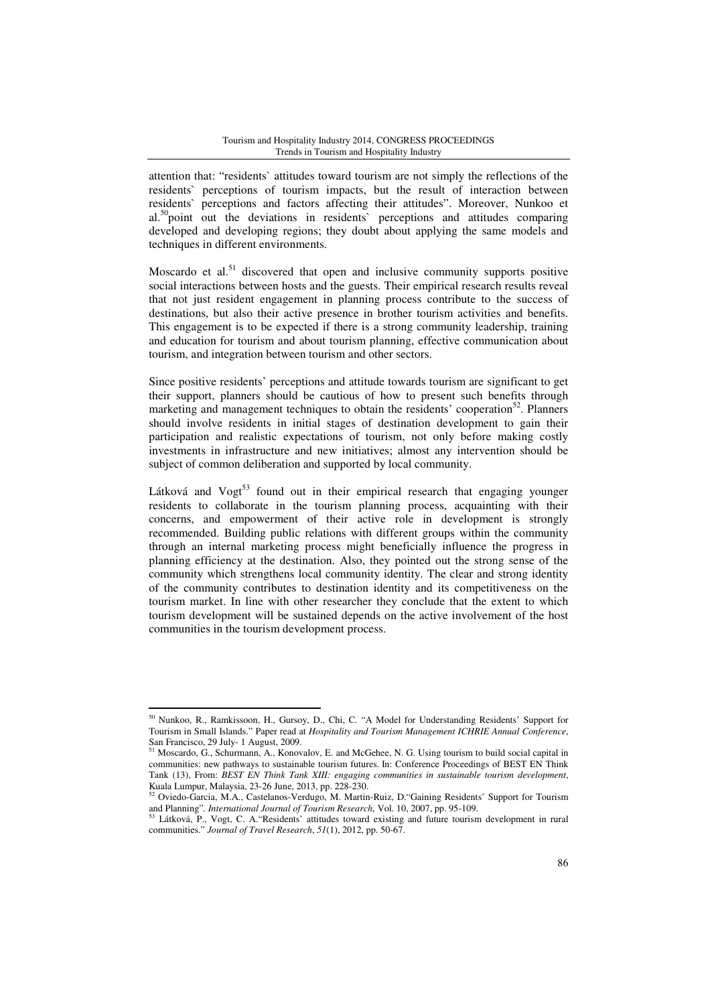attention that: "residents` attitudes toward tourism are not simply the reflections of the residents` perceptions of tourism impacts, but the result of interaction between residents` perceptions and factors affecting their attitudes". Moreover, Nunkoo et al.<sup>50</sup>point out the deviations in residents' perceptions and attitudes comparing developed and developing regions; they doubt about applying the same models and techniques in different environments.

Moscardo et al.<sup>51</sup> discovered that open and inclusive community supports positive social interactions between hosts and the guests. Their empirical research results reveal that not just resident engagement in planning process contribute to the success of destinations, but also their active presence in brother tourism activities and benefits. This engagement is to be expected if there is a strong community leadership, training and education for tourism and about tourism planning, effective communication about tourism, and integration between tourism and other sectors.

Since positive residents' perceptions and attitude towards tourism are significant to get their support, planners should be cautious of how to present such benefits through marketing and management techniques to obtain the residents' cooperation<sup>52</sup>. Planners should involve residents in initial stages of destination development to gain their participation and realistic expectations of tourism, not only before making costly investments in infrastructure and new initiatives; almost any intervention should be subject of common deliberation and supported by local community.

Látková and  $Vogt^{53}$  found out in their empirical research that engaging younger residents to collaborate in the tourism planning process, acquainting with their concerns, and empowerment of their active role in development is strongly recommended. Building public relations with different groups within the community through an internal marketing process might beneficially influence the progress in planning efficiency at the destination. Also, they pointed out the strong sense of the community which strengthens local community identity. The clear and strong identity of the community contributes to destination identity and its competitiveness on the tourism market. In line with other researcher they conclude that the extent to which tourism development will be sustained depends on the active involvement of the host communities in the tourism development process.

<sup>50</sup> Nunkoo, R., Ramkissoon, H., Gursoy, D., Chi, C*.* "A Model for Understanding Residents' Support for Tourism in Small Islands." Paper read at *Hospitality and Tourism Management ICHRIE Annual Conference*, San Francisco, 29 July- 1 August, 2009.

 $51$  Moscardo, G., Schurmann, A., Konovalov, E. and McGehee, N. G. Using tourism to build social capital in communities: new pathways to sustainable tourism futures. In: Conference Proceedings of BEST EN Think Tank (13), From: *BEST EN Think Tank XIII: engaging communities in sustainable tourism development*, Kuala Lumpur, Malaysia, 23-26 June, 2013, pp. 228-230.

<sup>&</sup>lt;sup>52</sup> Oviedo-Garcia, M.A., Castelanos-Verdugo, M. Martin-Ruiz, D. "Gaining Residents' Support for Tourism and Planning"*. International Journal of Tourism Research*, Vol. 10, 2007, pp. 95-109.

<sup>&</sup>lt;sup>3</sup> Látková, P., Vogt, C. A. "Residents' attitudes toward existing and future tourism development in rural communities." *Journal of Travel Research*, *51*(1), 2012, pp. 50-67.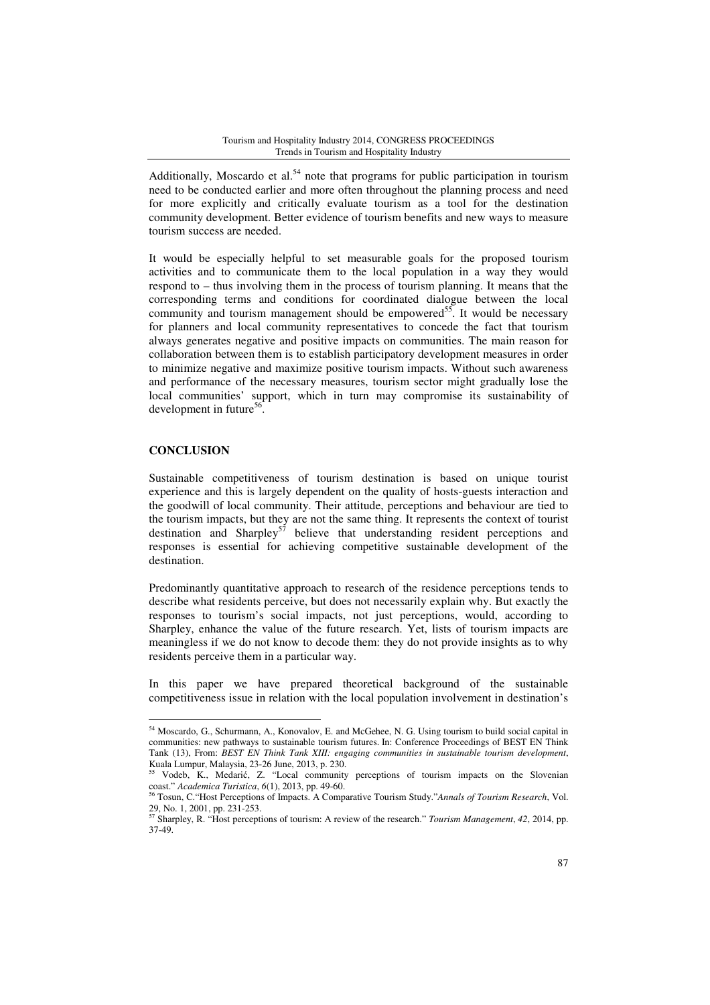Additionally, Moscardo et al.<sup>54</sup> note that programs for public participation in tourism need to be conducted earlier and more often throughout the planning process and need for more explicitly and critically evaluate tourism as a tool for the destination community development. Better evidence of tourism benefits and new ways to measure tourism success are needed.

It would be especially helpful to set measurable goals for the proposed tourism activities and to communicate them to the local population in a way they would respond to – thus involving them in the process of tourism planning. It means that the corresponding terms and conditions for coordinated dialogue between the local community and tourism management should be empowered<sup>55</sup>. It would be necessary for planners and local community representatives to concede the fact that tourism always generates negative and positive impacts on communities. The main reason for collaboration between them is to establish participatory development measures in order to minimize negative and maximize positive tourism impacts. Without such awareness and performance of the necessary measures, tourism sector might gradually lose the local communities' support, which in turn may compromise its sustainability of development in future<sup>56</sup>.

# **CONCLUSION**

l

Sustainable competitiveness of tourism destination is based on unique tourist experience and this is largely dependent on the quality of hosts-guests interaction and the goodwill of local community. Their attitude, perceptions and behaviour are tied to the tourism impacts, but they are not the same thing. It represents the context of tourist destination and Sharpley<sup>57</sup> believe that understanding resident perceptions and responses is essential for achieving competitive sustainable development of the destination.

Predominantly quantitative approach to research of the residence perceptions tends to describe what residents perceive, but does not necessarily explain why. But exactly the responses to tourism's social impacts, not just perceptions, would, according to Sharpley, enhance the value of the future research. Yet, lists of tourism impacts are meaningless if we do not know to decode them: they do not provide insights as to why residents perceive them in a particular way.

In this paper we have prepared theoretical background of the sustainable competitiveness issue in relation with the local population involvement in destination's

<sup>54</sup> Moscardo, G., Schurmann, A., Konovalov, E. and McGehee, N. G. Using tourism to build social capital in communities: new pathways to sustainable tourism futures. In: Conference Proceedings of BEST EN Think Tank (13), From: *BEST EN Think Tank XIII: engaging communities in sustainable tourism development*, Kuala Lumpur, Malaysia, 23-26 June, 2013, p. 230.

<sup>55</sup> Vodeb, K., Medarić, Z. "Local community perceptions of tourism impacts on the Slovenian coast." *Academica Turistica*, *6*(1), 2013, pp. 49-60.

<sup>56</sup> Tosun, C."Host Perceptions of Impacts. A Comparative Tourism Study."*Annals of Tourism Research*, Vol. 29, No. 1, 2001, pp. 231-253.

<sup>57</sup> Sharpley, R. "Host perceptions of tourism: A review of the research." *Tourism Management*, *42*, 2014, pp. 37-49.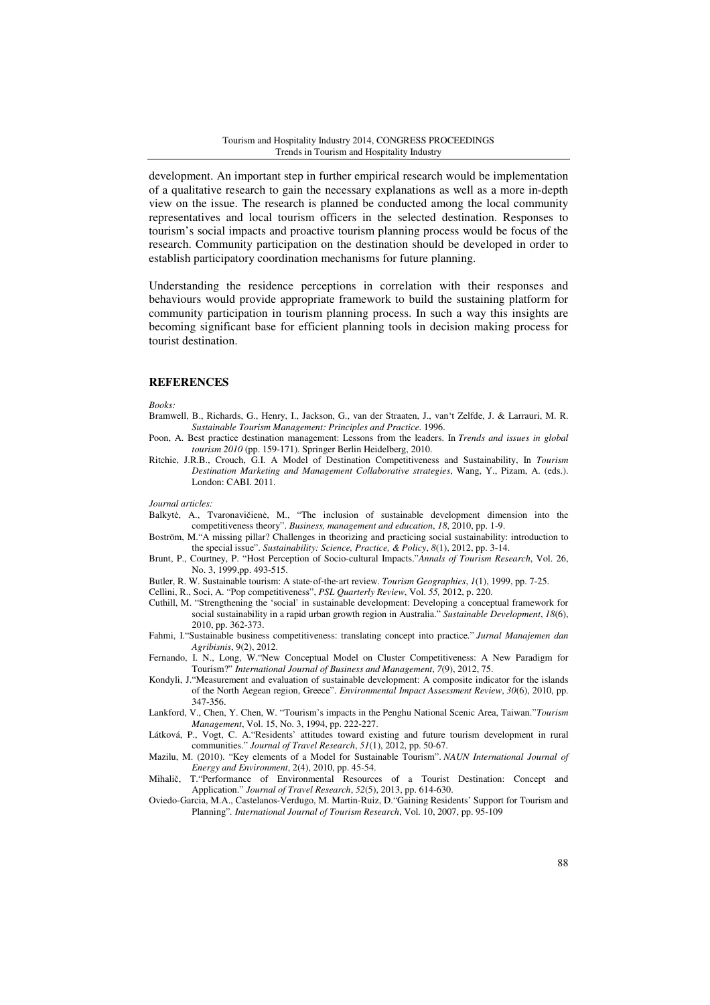development. An important step in further empirical research would be implementation of a qualitative research to gain the necessary explanations as well as a more in-depth view on the issue. The research is planned be conducted among the local community representatives and local tourism officers in the selected destination. Responses to tourism's social impacts and proactive tourism planning process would be focus of the research. Community participation on the destination should be developed in order to establish participatory coordination mechanisms for future planning.

Understanding the residence perceptions in correlation with their responses and behaviours would provide appropriate framework to build the sustaining platform for community participation in tourism planning process. In such a way this insights are becoming significant base for efficient planning tools in decision making process for tourist destination.

### **REFERENCES**

*Books:* 

- Bramwell, B., Richards, G., Henry, I., Jackson, G., van der Straaten, J., van't Zelfde, J. & Larrauri, M. R. *Sustainable Tourism Management: Principles and Practice*. 1996.
- Poon, A. Best practice destination management: Lessons from the leaders. In *Trends and issues in global tourism 2010* (pp. 159-171). Springer Berlin Heidelberg, 2010.
- Ritchie, J.R.B., Crouch, G.I. A Model of Destination Competitiveness and Sustainability, In *Tourism Destination Marketing and Management Collaborative strategies*, Wang, Y., Pizam, A. (eds.). London: CABI. 2011.

*Journal articles:*

- Balkytė, A., Tvaronavičienė, M., "The inclusion of sustainable development dimension into the competitiveness theory". *Business, management and education*, *18*, 2010, pp. 1-9.
- Boström, M."A missing pillar? Challenges in theorizing and practicing social sustainability: introduction to the special issue". *Sustainability: Science, Practice, & Policy*, *8*(1), 2012, pp. 3-14.
- Brunt, P., Courtney, P. "Host Perception of Socio-cultural Impacts."*Annals of Tourism Research*, Vol. 26, No. 3, 1999,pp. 493-515.
- Butler, R. W. Sustainable tourism: A state‐of‐the‐art review. *Tourism Geographies*, *1*(1), 1999, pp. 7-25.
- Cellini, R., Soci, A. "Pop competitiveness", *PSL Quarterly Review*, Vol. *55,* 2012, p. 220.
- Cuthill, M. "Strengthening the 'social' in sustainable development: Developing a conceptual framework for social sustainability in a rapid urban growth region in Australia." *Sustainable Development*, *18*(6), 2010, pp. 362-373.
- Fahmi, I."Sustainable business competitiveness: translating concept into practice." *Jurnal Manajemen dan Agribisnis*, 9(2), 2012.
- Fernando, I. N., Long, W."New Conceptual Model on Cluster Competitiveness: A New Paradigm for Tourism?" *International Journal of Business and Management*, *7*(9), 2012, 75.
- Kondyli, J."Measurement and evaluation of sustainable development: A composite indicator for the islands of the North Aegean region, Greece". *Environmental Impact Assessment Review*, *30*(6), 2010, pp. 347-356.
- Lankford, V., Chen, Y. Chen, W. "Tourism's impacts in the Penghu National Scenic Area, Taiwan."*Tourism Management*, Vol. 15, No. 3, 1994, pp. 222-227.
- Látková, P., Vogt, C. A."Residents' attitudes toward existing and future tourism development in rural communities." *Journal of Travel Research*, *51*(1), 2012, pp. 50-67.
- Mazilu, M. (2010). "Key elements of a Model for Sustainable Tourism". *NAUN International Journal of Energy and Environment*, 2(4), 2010, pp. 45-54.
- Mihalič, T."Performance of Environmental Resources of a Tourist Destination: Concept and Application." *Journal of Travel Research*, *52*(5), 2013, pp. 614-630.
- Oviedo-Garcia, M.A., Castelanos-Verdugo, M. Martin-Ruiz, D."Gaining Residents' Support for Tourism and Planning"*. International Journal of Tourism Research*, Vol. 10, 2007, pp. 95-109